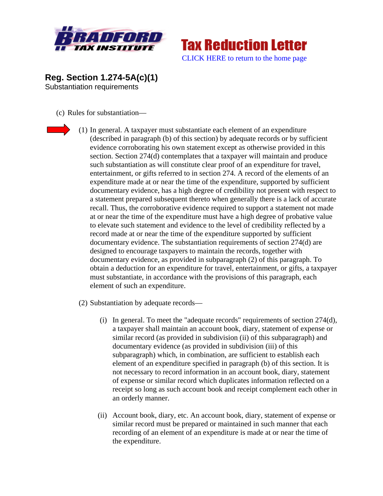



**Reg. Section 1.274-5A(c)(1)**  Substantiation requirements

(c) Rules for substantiation—



- (1) In general. A taxpayer must substantiate each element of an expenditure (described in paragraph (b) of this section) by adequate records or by sufficient evidence corroborating his own statement except as otherwise provided in this section. Section 274(d) contemplates that a taxpayer will maintain and produce such substantiation as will constitute clear proof of an expenditure for travel, entertainment, or gifts referred to in section 274. A record of the elements of an expenditure made at or near the time of the expenditure, supported by sufficient documentary evidence, has a high degree of credibility not present with respect to a statement prepared subsequent thereto when generally there is a lack of accurate recall. Thus, the corroborative evidence required to support a statement not made at or near the time of the expenditure must have a high degree of probative value to elevate such statement and evidence to the level of credibility reflected by a record made at or near the time of the expenditure supported by sufficient documentary evidence. The substantiation requirements of section 274(d) are designed to encourage taxpayers to maintain the records, together with documentary evidence, as provided in subparagraph (2) of this paragraph. To obtain a deduction for an expenditure for travel, entertainment, or gifts, a taxpayer must substantiate, in accordance with the provisions of this paragraph, each element of such an expenditure.
- (2) Substantiation by adequate records—
	- (i) In general. To meet the "adequate records" requirements of section 274(d), a taxpayer shall maintain an account book, diary, statement of expense or similar record (as provided in subdivision (ii) of this subparagraph) and documentary evidence (as provided in subdivision (iii) of this subparagraph) which, in combination, are sufficient to establish each element of an expenditure specified in paragraph (b) of this section. It is not necessary to record information in an account book, diary, statement of expense or similar record which duplicates information reflected on a receipt so long as such account book and receipt complement each other in an orderly manner.
	- (ii) Account book, diary, etc. An account book, diary, statement of expense or similar record must be prepared or maintained in such manner that each recording of an element of an expenditure is made at or near the time of the expenditure.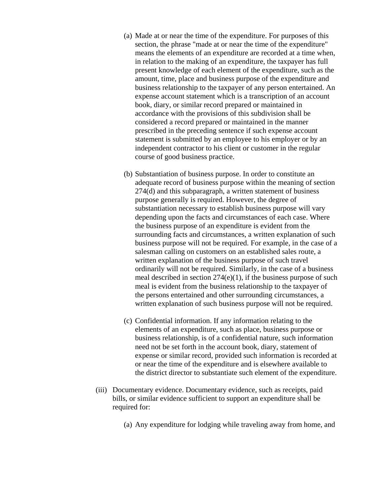- (a) Made at or near the time of the expenditure. For purposes of this section, the phrase "made at or near the time of the expenditure" means the elements of an expenditure are recorded at a time when, in relation to the making of an expenditure, the taxpayer has full present knowledge of each element of the expenditure, such as the amount, time, place and business purpose of the expenditure and business relationship to the taxpayer of any person entertained. An expense account statement which is a transcription of an account book, diary, or similar record prepared or maintained in accordance with the provisions of this subdivision shall be considered a record prepared or maintained in the manner prescribed in the preceding sentence if such expense account statement is submitted by an employee to his employer or by an independent contractor to his client or customer in the regular course of good business practice.
- (b) Substantiation of business purpose. In order to constitute an adequate record of business purpose within the meaning of section 274(d) and this subparagraph, a written statement of business purpose generally is required. However, the degree of substantiation necessary to establish business purpose will vary depending upon the facts and circumstances of each case. Where the business purpose of an expenditure is evident from the surrounding facts and circumstances, a written explanation of such business purpose will not be required. For example, in the case of a salesman calling on customers on an established sales route, a written explanation of the business purpose of such travel ordinarily will not be required. Similarly, in the case of a business meal described in section 274(e)(1), if the business purpose of such meal is evident from the business relationship to the taxpayer of the persons entertained and other surrounding circumstances, a written explanation of such business purpose will not be required.
- (c) Confidential information. If any information relating to the elements of an expenditure, such as place, business purpose or business relationship, is of a confidential nature, such information need not be set forth in the account book, diary, statement of expense or similar record, provided such information is recorded at or near the time of the expenditure and is elsewhere available to the district director to substantiate such element of the expenditure.
- (iii) Documentary evidence. Documentary evidence, such as receipts, paid bills, or similar evidence sufficient to support an expenditure shall be required for:
	- (a) Any expenditure for lodging while traveling away from home, and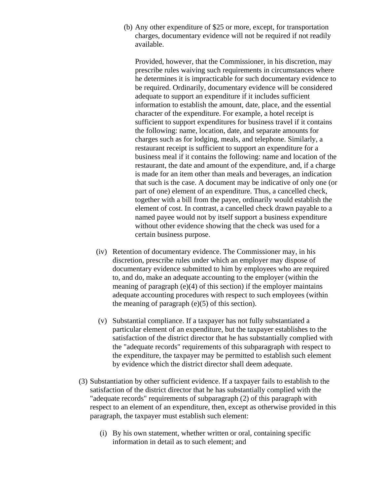(b) Any other expenditure of \$25 or more, except, for transportation charges, documentary evidence will not be required if not readily available.

Provided, however, that the Commissioner, in his discretion, may prescribe rules waiving such requirements in circumstances where he determines it is impracticable for such documentary evidence to be required. Ordinarily, documentary evidence will be considered adequate to support an expenditure if it includes sufficient information to establish the amount, date, place, and the essential character of the expenditure. For example, a hotel receipt is sufficient to support expenditures for business travel if it contains the following: name, location, date, and separate amounts for charges such as for lodging, meals, and telephone. Similarly, a restaurant receipt is sufficient to support an expenditure for a business meal if it contains the following: name and location of the restaurant, the date and amount of the expenditure, and, if a charge is made for an item other than meals and beverages, an indication that such is the case. A document may be indicative of only one (or part of one) element of an expenditure. Thus, a cancelled check, together with a bill from the payee, ordinarily would establish the element of cost. In contrast, a cancelled check drawn payable to a named payee would not by itself support a business expenditure without other evidence showing that the check was used for a certain business purpose.

- (iv) Retention of documentary evidence. The Commissioner may, in his discretion, prescribe rules under which an employer may dispose of documentary evidence submitted to him by employees who are required to, and do, make an adequate accounting to the employer (within the meaning of paragraph (e)(4) of this section) if the employer maintains adequate accounting procedures with respect to such employees (within the meaning of paragraph  $(e)(5)$  of this section).
- (v) Substantial compliance. If a taxpayer has not fully substantiated a particular element of an expenditure, but the taxpayer establishes to the satisfaction of the district director that he has substantially complied with the "adequate records" requirements of this subparagraph with respect to the expenditure, the taxpayer may be permitted to establish such element by evidence which the district director shall deem adequate.
- (3) Substantiation by other sufficient evidence. If a taxpayer fails to establish to the satisfaction of the district director that he has substantially complied with the "adequate records" requirements of subparagraph (2) of this paragraph with respect to an element of an expenditure, then, except as otherwise provided in this paragraph, the taxpayer must establish such element:
	- (i) By his own statement, whether written or oral, containing specific information in detail as to such element; and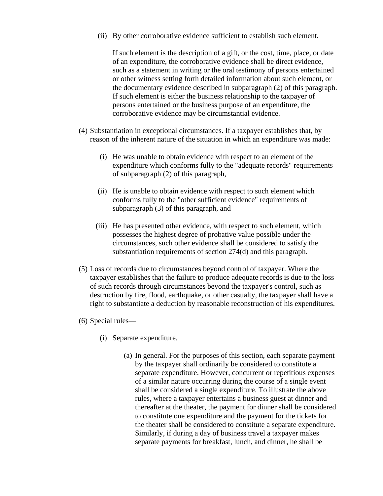(ii) By other corroborative evidence sufficient to establish such element.

If such element is the description of a gift, or the cost, time, place, or date of an expenditure, the corroborative evidence shall be direct evidence, such as a statement in writing or the oral testimony of persons entertained or other witness setting forth detailed information about such element, or the documentary evidence described in subparagraph (2) of this paragraph. If such element is either the business relationship to the taxpayer of persons entertained or the business purpose of an expenditure, the corroborative evidence may be circumstantial evidence.

- (4) Substantiation in exceptional circumstances. If a taxpayer establishes that, by reason of the inherent nature of the situation in which an expenditure was made:
	- (i) He was unable to obtain evidence with respect to an element of the expenditure which conforms fully to the "adequate records" requirements of subparagraph (2) of this paragraph,
	- (ii) He is unable to obtain evidence with respect to such element which conforms fully to the "other sufficient evidence" requirements of subparagraph (3) of this paragraph, and
	- (iii) He has presented other evidence, with respect to such element, which possesses the highest degree of probative value possible under the circumstances, such other evidence shall be considered to satisfy the substantiation requirements of section 274(d) and this paragraph.
- (5) Loss of records due to circumstances beyond control of taxpayer. Where the taxpayer establishes that the failure to produce adequate records is due to the loss of such records through circumstances beyond the taxpayer's control, such as destruction by fire, flood, earthquake, or other casualty, the taxpayer shall have a right to substantiate a deduction by reasonable reconstruction of his expenditures.
- (6) Special rules—
	- (i) Separate expenditure.
		- (a) In general. For the purposes of this section, each separate payment by the taxpayer shall ordinarily be considered to constitute a separate expenditure. However, concurrent or repetitious expenses of a similar nature occurring during the course of a single event shall be considered a single expenditure. To illustrate the above rules, where a taxpayer entertains a business guest at dinner and thereafter at the theater, the payment for dinner shall be considered to constitute one expenditure and the payment for the tickets for the theater shall be considered to constitute a separate expenditure. Similarly, if during a day of business travel a taxpayer makes separate payments for breakfast, lunch, and dinner, he shall be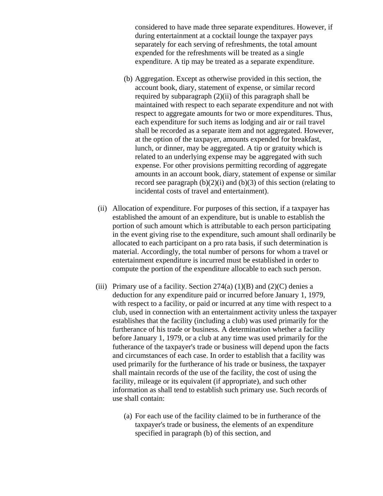considered to have made three separate expenditures. However, if during entertainment at a cocktail lounge the taxpayer pays separately for each serving of refreshments, the total amount expended for the refreshments will be treated as a single expenditure. A tip may be treated as a separate expenditure.

- (b) Aggregation. Except as otherwise provided in this section, the account book, diary, statement of expense, or similar record required by subparagraph (2)(ii) of this paragraph shall be maintained with respect to each separate expenditure and not with respect to aggregate amounts for two or more expenditures. Thus, each expenditure for such items as lodging and air or rail travel shall be recorded as a separate item and not aggregated. However, at the option of the taxpayer, amounts expended for breakfast, lunch, or dinner, may be aggregated. A tip or gratuity which is related to an underlying expense may be aggregated with such expense. For other provisions permitting recording of aggregate amounts in an account book, diary, statement of expense or similar record see paragraph  $(b)(2)(i)$  and  $(b)(3)$  of this section (relating to incidental costs of travel and entertainment).
- (ii) Allocation of expenditure. For purposes of this section, if a taxpayer has established the amount of an expenditure, but is unable to establish the portion of such amount which is attributable to each person participating in the event giving rise to the expenditure, such amount shall ordinarily be allocated to each participant on a pro rata basis, if such determination is material. Accordingly, the total number of persons for whom a travel or entertainment expenditure is incurred must be established in order to compute the portion of the expenditure allocable to each such person.
- (iii) Primary use of a facility. Section  $274(a) (1)(B)$  and  $(2)(C)$  denies a deduction for any expenditure paid or incurred before January 1, 1979, with respect to a facility, or paid or incurred at any time with respect to a club, used in connection with an entertainment activity unless the taxpayer establishes that the facility (including a club) was used primarily for the furtherance of his trade or business. A determination whether a facility before January 1, 1979, or a club at any time was used primarily for the futherance of the taxpayer's trade or business will depend upon the facts and circumstances of each case. In order to establish that a facility was used primarily for the furtherance of his trade or business, the taxpayer shall maintain records of the use of the facility, the cost of using the facility, mileage or its equivalent (if appropriate), and such other information as shall tend to establish such primary use. Such records of use shall contain:
	- (a) For each use of the facility claimed to be in furtherance of the taxpayer's trade or business, the elements of an expenditure specified in paragraph (b) of this section, and